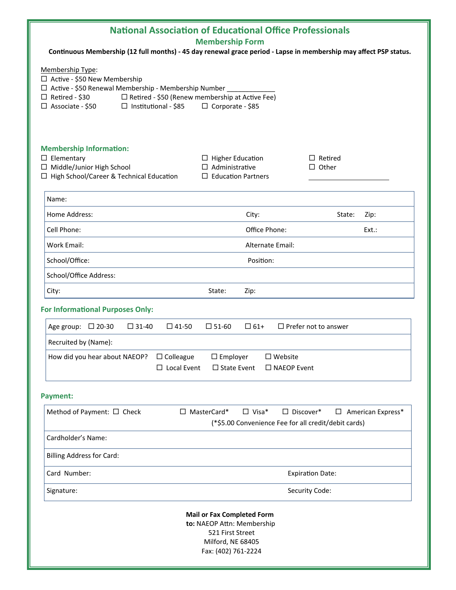| <b>National Association of Educational Office Professionals</b>                                                                                                                                                                                                            |                                                                               |                                |
|----------------------------------------------------------------------------------------------------------------------------------------------------------------------------------------------------------------------------------------------------------------------------|-------------------------------------------------------------------------------|--------------------------------|
| <b>Membership Form</b><br>Continuous Membership (12 full months) - 45 day renewal grace period - Lapse in membership may affect PSP status.                                                                                                                                |                                                                               |                                |
| Membership Type:<br>□ Active - \$50 New Membership<br>□ Active - \$50 Renewal Membership - Membership Number<br>□ Retired - \$30<br>$\Box$ Retired - \$50 (Renew membership at Active Fee)<br>$\Box$ Associate - \$50<br>$\Box$ Institutional - \$85<br>□ Corporate - \$85 |                                                                               |                                |
| <b>Membership Information:</b><br>$\Box$ Elementary<br>□ Middle/Junior High School<br>□ High School/Career & Technical Education                                                                                                                                           | $\Box$ Higher Education<br>$\Box$ Administrative<br>$\Box$ Education Partners | $\Box$ Retired<br>$\Box$ Other |
| Name:                                                                                                                                                                                                                                                                      |                                                                               |                                |
| Home Address:                                                                                                                                                                                                                                                              | City:                                                                         | State:<br>Zip:                 |
| Cell Phone:                                                                                                                                                                                                                                                                | Office Phone:                                                                 | $Ext.$ :                       |
| <b>Work Email:</b>                                                                                                                                                                                                                                                         | Alternate Email:                                                              |                                |
| School/Office:                                                                                                                                                                                                                                                             | Position:                                                                     |                                |
| School/Office Address:                                                                                                                                                                                                                                                     |                                                                               |                                |
| City:                                                                                                                                                                                                                                                                      | State:<br>Zip:                                                                |                                |
| <b>For Informational Purposes Only:</b>                                                                                                                                                                                                                                    |                                                                               |                                |
| $\Box$ 61+<br>$\Box$ Prefer not to answer<br>Age group: $\Box$ 20-30<br>$\Box$ 31-40<br>$\square$ 41-50<br>$\square$ 51-60                                                                                                                                                 |                                                                               |                                |
| Recruited by (Name):                                                                                                                                                                                                                                                       |                                                                               |                                |
| How did you hear about NAEOP?<br>$\Box$ Colleague<br>$\square$ Employer<br>$\square$ Website<br>$\Box$ Local Event<br>$\Box$ State Event<br>$\square$ NAEOP Event                                                                                                          |                                                                               |                                |
| <b>Payment:</b>                                                                                                                                                                                                                                                            |                                                                               |                                |
| $\Box$ Visa*<br>Method of Payment: □ Check<br>$\Box$ MasterCard*<br>$\square$ Discover*<br>$\Box$ American Express*<br>(*\$5.00 Convenience Fee for all credit/debit cards)                                                                                                |                                                                               |                                |
| Cardholder's Name:                                                                                                                                                                                                                                                         |                                                                               |                                |
| <b>Billing Address for Card:</b>                                                                                                                                                                                                                                           |                                                                               |                                |
| Card Number:                                                                                                                                                                                                                                                               | <b>Expiration Date:</b>                                                       |                                |
| Signature:                                                                                                                                                                                                                                                                 | Security Code:                                                                |                                |
| <b>Mail or Fax Completed Form</b><br>to: NAEOP Attn: Membership<br>521 First Street<br>Milford, NE 68405<br>Fax: (402) 761-2224                                                                                                                                            |                                                                               |                                |